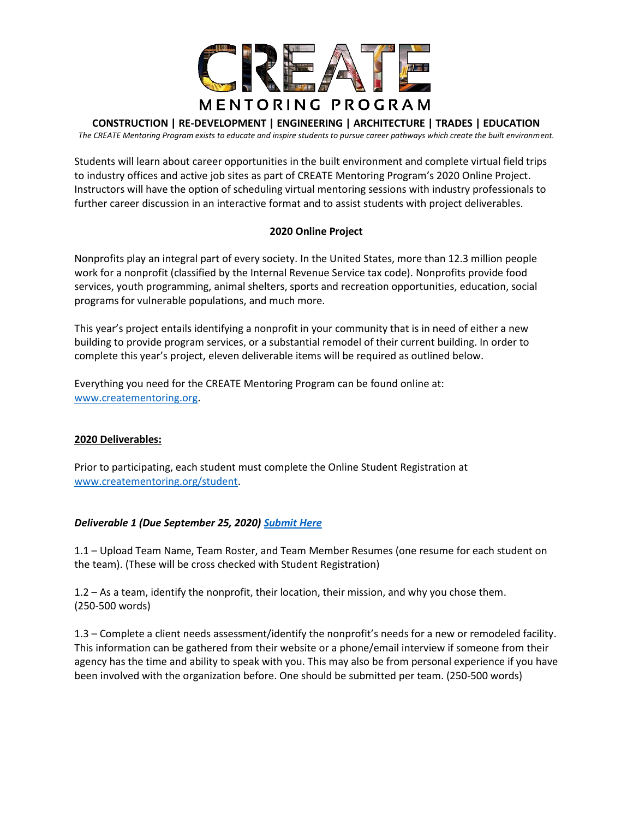

# **CONSTRUCTION | RE-DEVELOPMENT | ENGINEERING | ARCHITECTURE | TRADES | EDUCATION**

*The CREATE Mentoring Program exists to educate and inspire students to pursue career pathways which create the built environment.*

Students will learn about career opportunities in the built environment and complete virtual field trips to industry offices and active job sites as part of CREATE Mentoring Program's 2020 Online Project. Instructors will have the option of scheduling virtual mentoring sessions with industry professionals to further career discussion in an interactive format and to assist students with project deliverables.

# **2020 Online Project**

Nonprofits play an integral part of every society. In the United States, more than 12.3 million people work for a nonprofit (classified by the Internal Revenue Service tax code). Nonprofits provide food services, youth programming, animal shelters, sports and recreation opportunities, education, social programs for vulnerable populations, and much more.

This year's project entails identifying a nonprofit in your community that is in need of either a new building to provide program services, or a substantial remodel of their current building. In order to complete this year's project, eleven deliverable items will be required as outlined below.

Everything you need for the CREATE Mentoring Program can be found online at: [www.creatementoring.org.](http://www.creatementoring.org/)

# **2020 Deliverables:**

Prior to participating, each student must complete the Online Student Registration at [www.creatementoring.org/student.](http://www.creatementoring.org/student)

# *Deliverable 1 (Due September 25, 2020) [Submit Here](https://docs.google.com/forms/d/e/1FAIpQLSfvRsdwReMq3poXge2LUkSMfBGSn_BuUByXDk3ORbhSUbj9og/viewform)*

1.1 – Upload Team Name, Team Roster, and Team Member Resumes (one resume for each student on the team). (These will be cross checked with Student Registration)

1.2 – As a team, identify the nonprofit, their location, their mission, and why you chose them. (250-500 words)

1.3 – Complete a client needs assessment/identify the nonprofit's needs for a new or remodeled facility. This information can be gathered from their website or a phone/email interview if someone from their agency has the time and ability to speak with you. This may also be from personal experience if you have been involved with the organization before. One should be submitted per team. (250-500 words)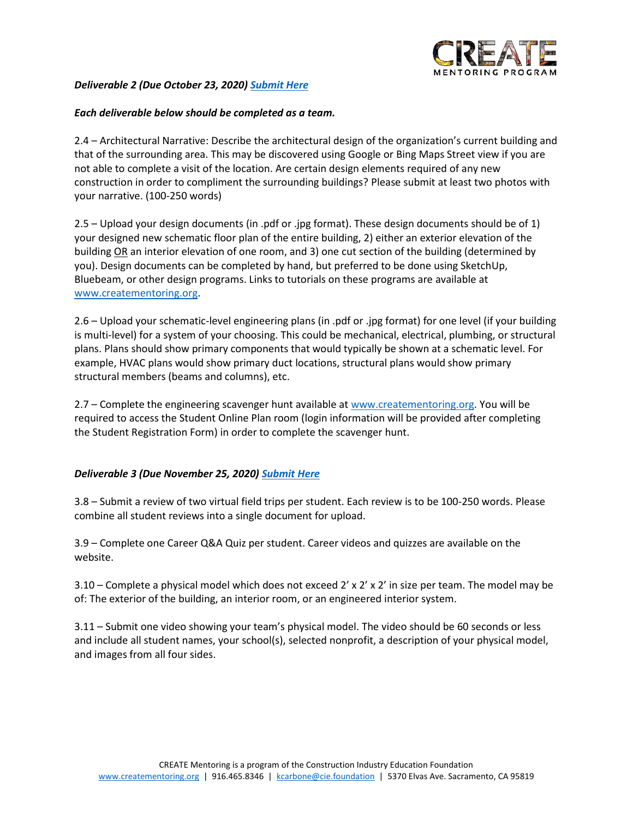

# *Deliverable 2 (Due October 23, 2020) [Submit Here](https://docs.google.com/forms/d/e/1FAIpQLSeMkwHbLlMgbVBNwuAjN3RnxLZratJSuzJRTvbfKlnF-RgS3w/viewform)*

#### *Each deliverable below should be completed as a team.*

2.4 – Architectural Narrative: Describe the architectural design of the organization's current building and that of the surrounding area. This may be discovered using Google or Bing Maps Street view if you are not able to complete a visit of the location. Are certain design elements required of any new construction in order to compliment the surrounding buildings? Please submit at least two photos with your narrative. (100-250 words)

2.5 – Upload your design documents (in .pdf or .jpg format). These design documents should be of 1) your designed new schematic floor plan of the entire building, 2) either an exterior elevation of the building OR an interior elevation of one room, and 3) one cut section of the building (determined by you). Design documents can be completed by hand, but preferred to be done using SketchUp, Bluebeam, or other design programs. Links to tutorials on these programs are available at [www.creatementoring.org.](http://www.creatementoring.org/)

2.6 – Upload your schematic-level engineering plans (in .pdf or .jpg format) for one level (if your building is multi-level) for a system of your choosing. This could be mechanical, electrical, plumbing, or structural plans. Plans should show primary components that would typically be shown at a schematic level. For example, HVAC plans would show primary duct locations, structural plans would show primary structural members (beams and columns), etc.

2.7 – Complete the engineering scavenger hunt available a[t www.creatementoring.org.](http://www.creatementoring.org/) You will be required to access the Student Online Plan room (login information will be provided after completing the Student Registration Form) in order to complete the scavenger hunt.

#### *Deliverable 3 (Due November 25, 2020) [Submit](https://docs.google.com/forms/d/e/1FAIpQLSc1d5t_x3ArARXY1Y2eDC2OpFAm3vtfUHcT6ZF9uk87OMcacQ/viewform) Here*

3.8 – Submit a review of two virtual field trips per student. Each review is to be 100-250 words. Please combine all student reviews into a single document for upload.

3.9 – Complete one Career Q&A Quiz per student. Career videos and quizzes are available on the website.

3.10 – Complete a physical model which does not exceed 2' x 2' x 2' in size per team. The model may be of: The exterior of the building, an interior room, or an engineered interior system.

3.11 – Submit one video showing your team's physical model. The video should be 60 seconds or less and include all student names, your school(s), selected nonprofit, a description of your physical model, and images from all four sides.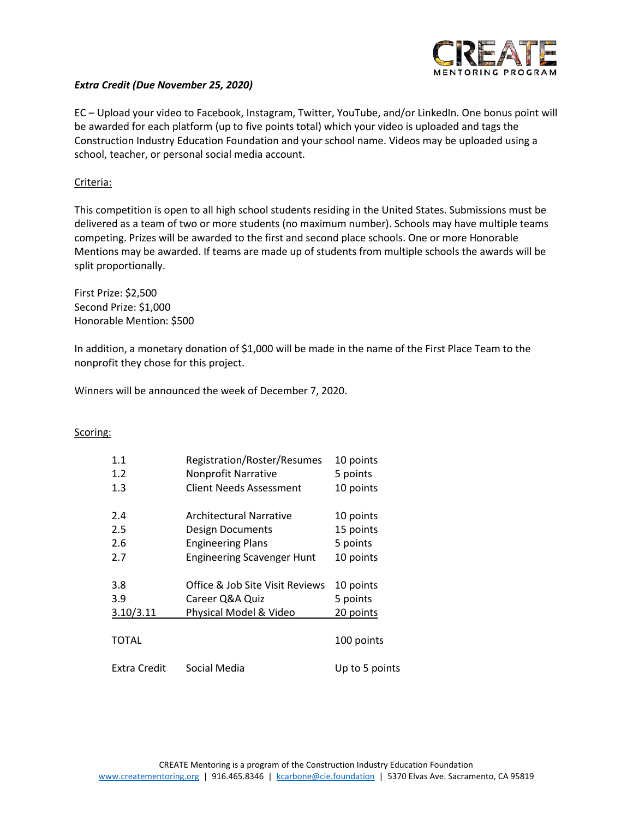

#### *Extra Credit (Due November 25, 2020)*

EC – Upload your video to Facebook, Instagram, Twitter, YouTube, and/or LinkedIn. One bonus point will be awarded for each platform (up to five points total) which your video is uploaded and tags the Construction Industry Education Foundation and your school name. Videos may be uploaded using a school, teacher, or personal social media account.

#### Criteria:

This competition is open to all high school students residing in the United States. Submissions must be delivered as a team of two or more students (no maximum number). Schools may have multiple teams competing. Prizes will be awarded to the first and second place schools. One or more Honorable Mentions may be awarded. If teams are made up of students from multiple schools the awards will be split proportionally.

First Prize: \$2,500 Second Prize: \$1,000 Honorable Mention: \$500

In addition, a monetary donation of \$1,000 will be made in the name of the First Place Team to the nonprofit they chose for this project.

Winners will be announced the week of December 7, 2020.

#### Scoring:

| 1.1<br>1.2   | Registration/Roster/Resumes<br>Nonprofit Narrative | 10 points<br>5 points |
|--------------|----------------------------------------------------|-----------------------|
| 1.3          | Client Needs Assessment                            | 10 points             |
| 2.4          | <b>Architectural Narrative</b>                     | 10 points             |
| 2.5          | <b>Design Documents</b>                            | 15 points             |
| 2.6          | <b>Engineering Plans</b>                           | 5 points              |
| 2.7          | <b>Engineering Scavenger Hunt</b>                  | 10 points             |
| 3.8          | Office & Job Site Visit Reviews                    | 10 points             |
| 3.9          | Career Q&A Quiz                                    | 5 points              |
| 3.10/3.11    | Physical Model & Video                             | 20 points             |
| TOTAL        |                                                    | 100 points            |
| Extra Credit | Social Media                                       | Up to 5 points        |